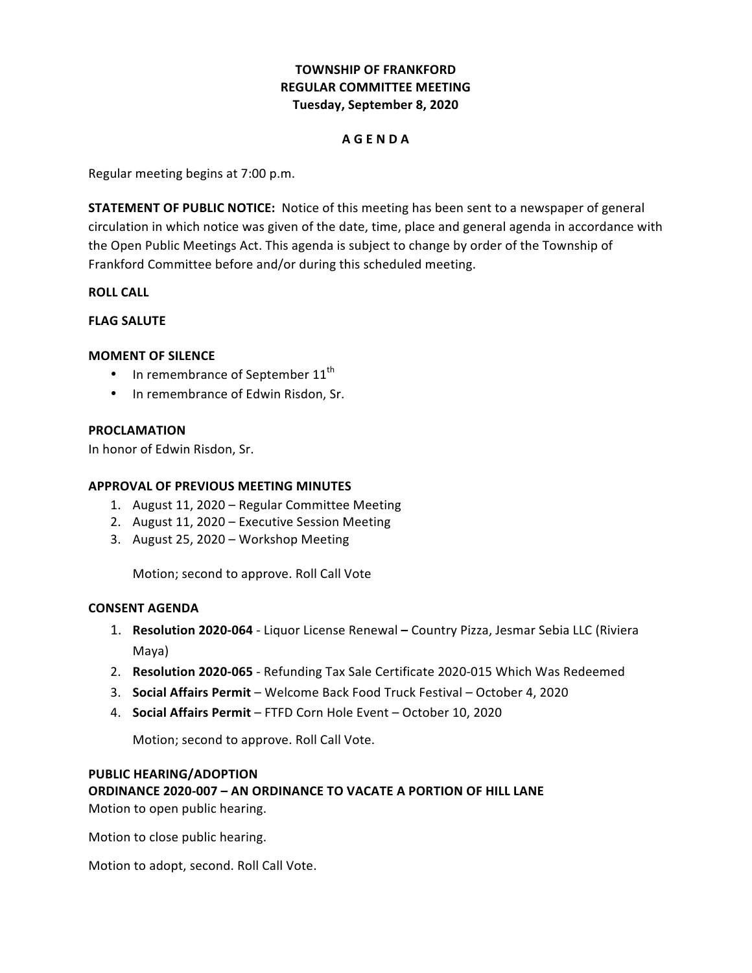# **TOWNSHIP OF FRANKFORD REGULAR COMMITTEE MEETING Tuesday, September 8, 2020**

### **A G E N D A**

 Regular meeting begins at 7:00 p.m.

**STATEMENT OF PUBLIC NOTICE:** Notice of this meeting has been sent to a newspaper of general circulation in which notice was given of the date, time, place and general agenda in accordance with the Open Public Meetings Act. This agenda is subject to change by order of the Township of Frankford Committee before and/or during this scheduled meeting.

**ROLL CALL**

## **FLAG SALUTE**

### **MOMENT OF SILENCE**

- In remembrance of September  $11<sup>th</sup>$
- In remembrance of Edwin Risdon, Sr.

### **PROCLAMATION**

In honor of Edwin Risdon, Sr.

### **APPROVAL OF PREVIOUS MEETING MINUTES**

- 1. August 11, 2020 Regular Committee Meeting
- 2. August 11, 2020 Executive Session Meeting
- 3. August 25, 2020 Workshop Meeting

 Motion; second to approve. Roll Call Vote

## **CONSENT AGENDA**

- 1. Resolution 2020-064 Liquor License Renewal Country Pizza, Jesmar Sebia LLC (Riviera Maya)
- 2. Resolution 2020-065 Refunding Tax Sale Certificate 2020-015 Which Was Redeemed
- 3. **Social Affairs Permit** Welcome Back Food Truck Festival October 4, 2020
- 4. **Social Affairs Permit** FTFD Corn Hole Event October 10, 2020

 Motion; second to approve. Roll Call Vote.

### **PUBLIC HEARING/ADOPTION**

 **ORDINANCE 2020-007 – AN ORDINANCE TO VACATE A PORTION OF HILL LANE** Motion to open public hearing.

 Motion to close public hearing.

Motion to adopt, second. Roll Call Vote.